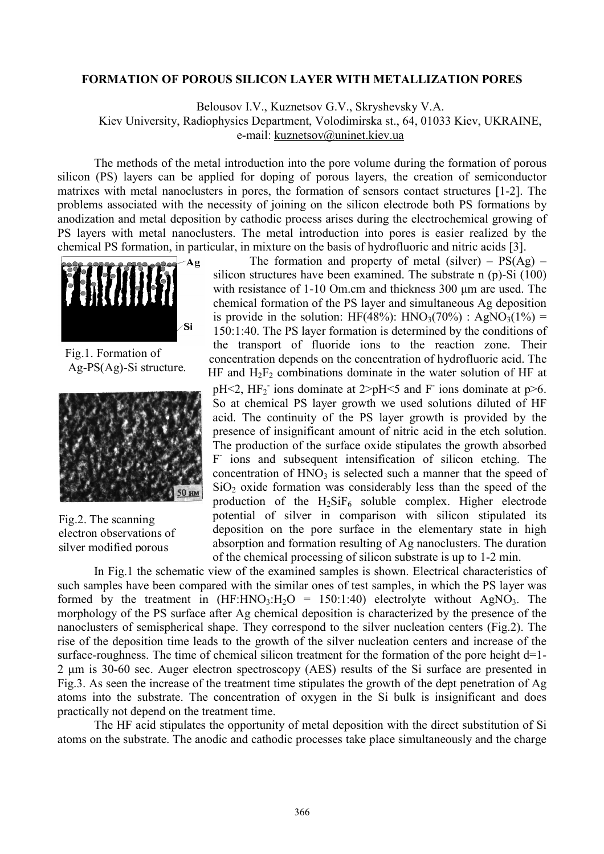## **FORMATION OF POROUS SILICON LAYER WITH METALLIZATION PORES**

Belousov I.V., Kuznetsov G.V., Skryshevsky V.A.

Kiev University, Radiophysics Department, Volodimirska st., 64, 01033 Kiev, UKRAINE, e-mail: [kuznetsov@uninet.kiev.ua](mailto:kuznetsov@uninet.kiev.ua)

The methods of the metal introduction into the pore volume during the formation of porous silicon (РS) layers can be applied for doping of porous layers, the creation of semiconductor matrixes with metal nanoclusters in pores, the formation of sensors contact structures [1-2]. The problems associated with the necessity of joining on the silicon electrode both PS formations by anodization and metal deposition by cathodic process arises during the electrochemical growing of PS layers with metal nanoclusters. The metal introduction into pores is easier realized by the chemical PS formation, in particular, in mixture on the basis of hydrofluoric and nitric acids [3].



Fig.1. Formation of Ag-PS(Ag)-Si structure.



Fig.2. The scanning electron observations of silver modified porous

The formation and property of metal (silver) –  $PS(Ag)$  – silicon structures have been examined. The substrate n (p)-Si (100) with resistance of 1-10 Om.cm and thickness 300 μm are used. The chemical formation of the PS layer and simultaneous Ag deposition is provide in the solution: HF(48%): HNO<sub>3</sub>(70%) : AgNO<sub>3</sub>(1%) = 150:1:40. The PS layer formation is determined by the conditions of the transport of fluoride ions to the reaction zone. Their concentration depends on the concentration of hydrofluoric acid. The HF and  $H_2F_2$  combinations dominate in the water solution of HF at pH<2,  $HF_2$  ions dominate at 2>pH<5 and F ions dominate at p>6. So at chemical PS layer growth we used solutions diluted of HF acid. The continuity of the PS layer growth is provided by the presence of insignificant amount of nitric acid in the etch solution. The production of the surface oxide stipulates the growth absorbed F ions and subsequent intensification of silicon etching. The concentration of  $HNO<sub>3</sub>$  is selected such a manner that the speed of  $SiO<sub>2</sub>$  oxide formation was considerably less than the speed of the production of the  $H_2SiF_6$  soluble complex. Higher electrode potential of silver in comparison with silicon stipulated its deposition on the pore surface in the elementary state in high absorption and formation resulting of Ag nanoclusters. The duration of the chemical processing of silicon substrate is up to 1-2 min.

In Fig.1 the schematic view of the examined samples is shown. Electrical characteristics of such samples have been compared with the similar ones of test samples, in which the PS layer was formed by the treatment in  $(HF: HNO<sub>3</sub>: H<sub>2</sub>O = 150:1:40)$  electrolyte without AgNO<sub>3</sub>. The morphology of the PS surface after Ag chemical deposition is characterized by the presence of the nanoclusters of semispherical shape. They correspond to the silver nucleation centers (Fig.2). The rise of the deposition time leads to the growth of the silver nucleation centers and increase of the surface-roughness. The time of chemical silicon treatment for the formation of the pore height d=1-2 μm is 30-60 sec. Auger electron spectroscopy (AES) results of the Si surface are presented in Fig.3. As seen the increase of the treatment time stipulates the growth of the dept penetration of Аg atoms into the substrate. The concentration of oxygen in the Si bulk is insignificant and does practically not depend on the treatment time.

The HF acid stipulates the opportunity of metal deposition with the direct substitution of Si atoms on the substrate. The anodic and cathodic processes take place simultaneously and the charge